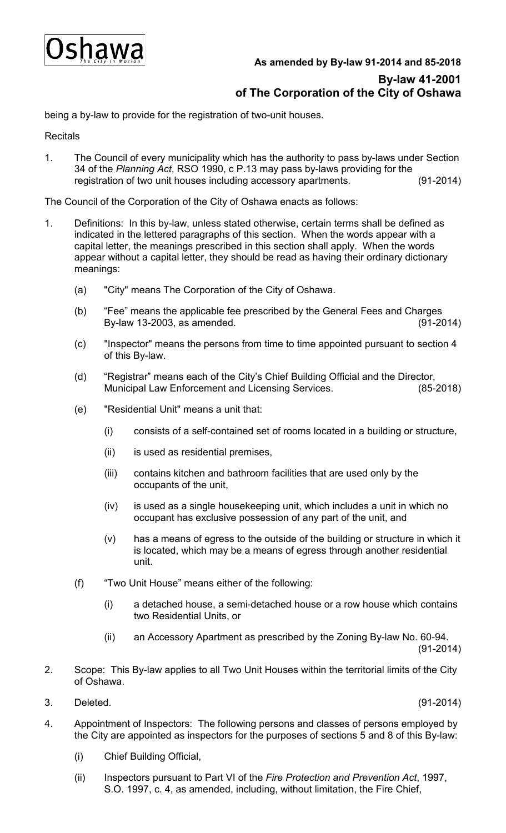

## **As amended by By-law 91-2014 and 85-2018 By-law 41-2001 of The Corporation of the City of Oshawa**

being a by-law to provide for the registration of two-unit houses.

**Recitals** 

1. The Council of every municipality which has the authority to pass by-laws under Section 34 of the *Planning Act*, RSO 1990, c P.13 may pass by-laws providing for the registration of two unit houses including accessory apartments. (91-2014)

The Council of the Corporation of the City of Oshawa enacts as follows:

- 1. Definitions: In this by-law, unless stated otherwise, certain terms shall be defined as indicated in the lettered paragraphs of this section. When the words appear with a capital letter, the meanings prescribed in this section shall apply. When the words appear without a capital letter, they should be read as having their ordinary dictionary meanings:
	- (a) "City" means The Corporation of the City of Oshawa.
	- (b) "Fee" means the applicable fee prescribed by the General Fees and Charges By-law 13-2003, as amended. (91-2014)
	- (c) "Inspector" means the persons from time to time appointed pursuant to section 4 of this By-law.
	- (d) "Registrar" means each of the City's Chief Building Official and the Director, Municipal Law Enforcement and Licensing Services.
	- (e) "Residential Unit" means a unit that:
		- (i) consists of a self-contained set of rooms located in a building or structure,
		- (ii) is used as residential premises,
		- (iii) contains kitchen and bathroom facilities that are used only by the occupants of the unit,
		- (iv) is used as a single housekeeping unit, which includes a unit in which no occupant has exclusive possession of any part of the unit, and
		- (v) has a means of egress to the outside of the building or structure in which it is located, which may be a means of egress through another residential unit.
	- (f) "Two Unit House" means either of the following:
		- (i) a detached house, a semi-detached house or a row house which contains two Residential Units, or
		- (ii) an Accessory Apartment as prescribed by the Zoning By-law No. 60-94. (91-2014)
- 2. Scope: This By-law applies to all Two Unit Houses within the territorial limits of the City of Oshawa.
- 3. Deleted. (91-2014)

- 4. Appointment of Inspectors: The following persons and classes of persons employed by the City are appointed as inspectors for the purposes of sections 5 and 8 of this By-law:
	- (i) Chief Building Official,
	- (ii) Inspectors pursuant to Part VI of the *Fire Protection and Prevention Act*, 1997, S.O. 1997, c. 4, as amended, including, without limitation, the Fire Chief,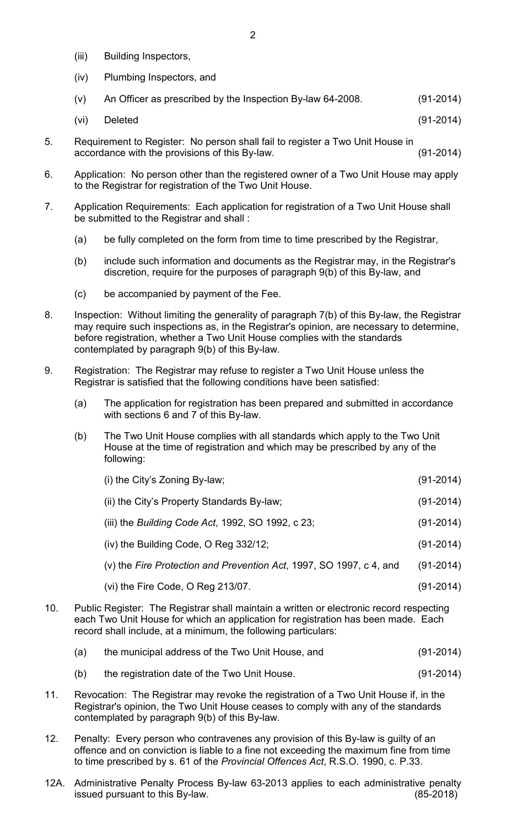- (iii) Building Inspectors,
- (iv) Plumbing Inspectors, and
- (v) An Officer as prescribed by the Inspection By-law 64-2008. (91-2014)
- (vi) Deleted (91-2014)
- 5. Requirement to Register: No person shall fail to register a Two Unit House in accordance with the provisions of this By-law. (91-2014)
- 6. Application: No person other than the registered owner of a Two Unit House may apply to the Registrar for registration of the Two Unit House.
- 7. Application Requirements: Each application for registration of a Two Unit House shall be submitted to the Registrar and shall :
	- (a) be fully completed on the form from time to time prescribed by the Registrar,
	- (b) include such information and documents as the Registrar may, in the Registrar's discretion, require for the purposes of paragraph 9(b) of this By-law, and
	- (c) be accompanied by payment of the Fee.
- 8. Inspection: Without limiting the generality of paragraph 7(b) of this By-law, the Registrar may require such inspections as, in the Registrar's opinion, are necessary to determine, before registration, whether a Two Unit House complies with the standards contemplated by paragraph 9(b) of this By-law.
- 9. Registration: The Registrar may refuse to register a Two Unit House unless the Registrar is satisfied that the following conditions have been satisfied:
	- (a) The application for registration has been prepared and submitted in accordance with sections 6 and 7 of this By-law.
	- (b) The Two Unit House complies with all standards which apply to the Two Unit House at the time of registration and which may be prescribed by any of the following:

| (i) the City's Zoning By-law;                                       | $(91 - 2014)$ |
|---------------------------------------------------------------------|---------------|
| (ii) the City's Property Standards By-law;                          | $(91-2014)$   |
| (iii) the Building Code Act, 1992, SO 1992, c 23;                   | $(91 - 2014)$ |
| $(iv)$ the Building Code, O Reg 332/12;                             | $(91 - 2014)$ |
| (v) the Fire Protection and Prevention Act, 1997, SO 1997, c 4, and | $(91 - 2014)$ |
| (vi) the Fire Code, $O$ Reg 213/07.                                 | $(91 - 2014)$ |

- 10. Public Register: The Registrar shall maintain a written or electronic record respecting each Two Unit House for which an application for registration has been made. Each record shall include, at a minimum, the following particulars:
	- (a) the municipal address of the Two Unit House, and (91-2014)
	- (b) the registration date of the Two Unit House. (91-2014)
- 11. Revocation: The Registrar may revoke the registration of a Two Unit House if, in the Registrar's opinion, the Two Unit House ceases to comply with any of the standards contemplated by paragraph 9(b) of this By-law.
- 12. Penalty: Every person who contravenes any provision of this By-law is guilty of an offence and on conviction is liable to a fine not exceeding the maximum fine from time to time prescribed by s. 61 of the *Provincial Offences Act*, R.S.O. 1990, c. P.33.
- 12A. Administrative Penalty Process By-law 63-2013 applies to each administrative penalty<br>issued pursuant to this By-law. issued pursuant to this By-law.